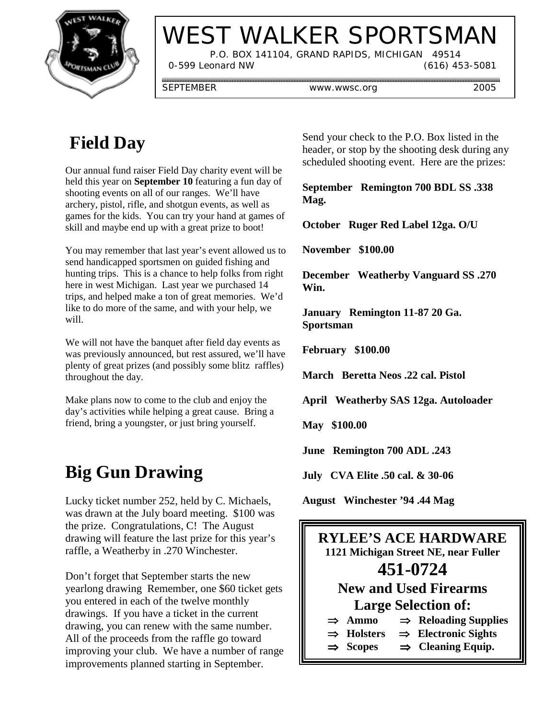

# WEST WALKER SPORTSMAN

 P.O. BOX 141104, GRAND RAPIDS, MICHIGAN 49514 0-599 Leonard NW (616) 453-5081

SEPTEMBER www.wwsc.org 2005

# **Field Day**

Our annual fund raiser Field Day charity event will be held this year on **September 10** featuring a fun day of shooting events on all of our ranges. We'll have archery, pistol, rifle, and shotgun events, as well as games for the kids. You can try your hand at games of skill and maybe end up with a great prize to boot!

You may remember that last year's event allowed us to send handicapped sportsmen on guided fishing and hunting trips. This is a chance to help folks from right here in west Michigan. Last year we purchased 14 trips, and helped make a ton of great memories. We'd like to do more of the same, and with your help, we will.

We will not have the banquet after field day events as was previously announced, but rest assured, we'll have plenty of great prizes (and possibly some blitz raffles) throughout the day.

Make plans now to come to the club and enjoy the day's activities while helping a great cause. Bring a friend, bring a youngster, or just bring yourself.

## **Big Gun Drawing**

Lucky ticket number 252, held by C. Michaels, was drawn at the July board meeting. \$100 was the prize. Congratulations, C! The August drawing will feature the last prize for this year's raffle, a Weatherby in .270 Winchester.

Don't forget that September starts the new yearlong drawing Remember, one \$60 ticket gets you entered in each of the twelve monthly drawings. If you have a ticket in the current drawing, you can renew with the same number. All of the proceeds from the raffle go toward improving your club. We have a number of range improvements planned starting in September.

Send your check to the P.O. Box listed in the header, or stop by the shooting desk during any scheduled shooting event. Here are the prizes:

**September Remington 700 BDL SS .338 Mag.**

**October Ruger Red Label 12ga. O/U**

**November \$100.00**

**December Weatherby Vanguard SS .270 Win.**

**January Remington 11-87 20 Ga. Sportsman**

**February \$100.00**

**March Beretta Neos .22 cal. Pistol**

**April Weatherby SAS 12ga. Autoloader**

**May \$100.00**

**June Remington 700 ADL .243**

**July CVA Elite .50 cal. & 30-06**

**August Winchester '94 .44 Mag**

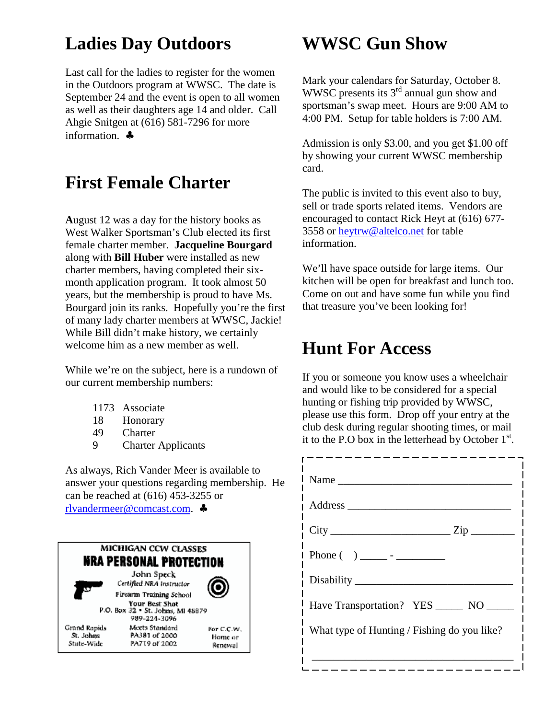### **Ladies Day Outdoors**

Last call for the ladies to register for the women in the Outdoors program at WWSC. The date is September 24 and the event is open to all women as well as their daughters age 14 and older. Call Ahgie Snitgen at (616) 581-7296 for more information. ♣

#### **First Female Charter**

**A**ugust 12 was a day for the history books as West Walker Sportsman's Club elected its first female charter member. **Jacqueline Bourgard** along with **Bill Huber** were installed as new charter members, having completed their sixmonth application program. It took almost 50 years, but the membership is proud to have Ms. Bourgard join its ranks. Hopefully you're the first of many lady charter members at WWSC, Jackie! While Bill didn't make history, we certainly welcome him as a new member as well.

While we're on the subject, here is a rundown of our current membership numbers:

- 1173 Associate
- 18 Honorary
- 49 Charter
- 9 Charter Applicants

As always, Rich Vander Meer is available to answer your questions regarding membership. He can be reached at (616) 453-3255 or rlvandermeer@comcast.com. ♣

**MICHIGAN CCW CLASSES** NRA PERSONAL PROTECTION John Speck Certified NRA Instructor Firearm Training School Your Best Shot P.O. Box 32 . St. Johns, MI 48879 989-224-3096 **Grand Rapids** Meets Standard For C.C.W. St. Johns PA381 of 2000 Home or State-Wide PA719 of 2002 Renewal

#### **WWSC Gun Show**

Mark your calendars for Saturday, October 8. WWSC presents its 3<sup>rd</sup> annual gun show and sportsman's swap meet. Hours are 9:00 AM to 4:00 PM. Setup for table holders is 7:00 AM.

Admission is only \$3.00, and you get \$1.00 off by showing your current WWSC membership card.

The public is invited to this event also to buy, sell or trade sports related items. Vendors are encouraged to contact Rick Heyt at (616) 677- 3558 or heytrw@altelco.net for table information.

We'll have space outside for large items. Our kitchen will be open for breakfast and lunch too. Come on out and have some fun while you find that treasure you've been looking for!

#### **Hunt For Access**

If you or someone you know uses a wheelchair and would like to be considered for a special hunting or fishing trip provided by WWSC, please use this form. Drop off your entry at the club desk during regular shooting times, or mail it to the P.O box in the letterhead by October  $1<sup>st</sup>$ .

| Name                                        |
|---------------------------------------------|
|                                             |
| $City$ $Zip$                                |
|                                             |
|                                             |
| Have Transportation? YES ______ NO ______   |
| What type of Hunting / Fishing do you like? |
|                                             |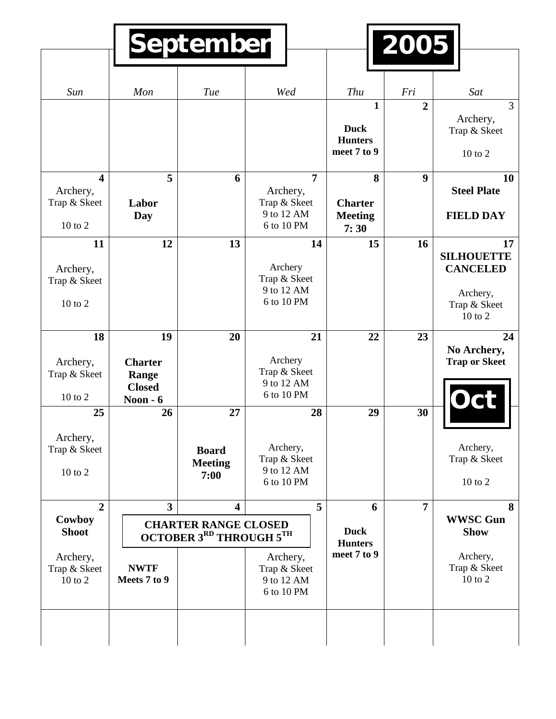| Sun                                                                | Mon                                                                                                                             | Tue                                          | Wed                                                                    | Thu                                                          | Fri              | Sat                                                                                   |
|--------------------------------------------------------------------|---------------------------------------------------------------------------------------------------------------------------------|----------------------------------------------|------------------------------------------------------------------------|--------------------------------------------------------------|------------------|---------------------------------------------------------------------------------------|
|                                                                    |                                                                                                                                 |                                              |                                                                        | $\mathbf{1}$<br><b>Duck</b><br><b>Hunters</b><br>meet 7 to 9 | $\overline{2}$   | $\overline{3}$<br>Archery,<br>Trap & Skeet<br>$10$ to $2$                             |
| $\overline{\mathbf{4}}$<br>Archery,<br>Trap & Skeet<br>$10$ to $2$ | 5<br>Labor<br>Day                                                                                                               | 6                                            | $\overline{7}$<br>Archery,<br>Trap & Skeet<br>9 to 12 AM<br>6 to 10 PM | 8<br><b>Charter</b><br><b>Meeting</b><br>7:30                | $\boldsymbol{9}$ | 10<br><b>Steel Plate</b><br><b>FIELD DAY</b>                                          |
| 11<br>Archery,<br>Trap & Skeet<br>10 to 2                          | 12                                                                                                                              | 13                                           | 14<br>Archery<br>Trap & Skeet<br>9 to 12 AM<br>6 to 10 PM              | 15                                                           | 16               | 17<br><b>SILHOUETTE</b><br><b>CANCELED</b><br>Archery,<br>Trap & Skeet<br>$10$ to $2$ |
| 18<br>Archery,<br>Trap & Skeet<br>10 to 2                          | 19<br><b>Charter</b><br>Range<br><b>Closed</b><br>Noon $-6$                                                                     | 20                                           | 21<br>Archery<br>Trap & Skeet<br>9 to 12 AM<br>6 to 10 PM              | 22                                                           | 23               | 24<br>No Archery,<br><b>Trap or Skeet</b><br><b>DCL</b>                               |
| 25<br>Archery,<br>Trap & Skeet<br>10 to 2                          | 26                                                                                                                              | 27<br><b>Board</b><br><b>Meeting</b><br>7:00 | 28<br>Archery,<br>Trap & Skeet<br>9 to 12 AM<br>6 to 10 PM             | 29                                                           | 30               | Archery,<br>Trap & Skeet<br>$10$ to $2$                                               |
| $\overline{2}$<br>Cowboy<br><b>Shoot</b>                           | $\overline{\mathbf{3}}$<br>$5\overline{)}$<br>$\overline{\mathbf{4}}$<br><b>CHARTER RANGE CLOSED</b><br>OCTOBER 3RD THROUGH 5TH |                                              |                                                                        | 6<br><b>Duck</b><br><b>Hunters</b>                           | $\overline{7}$   | 8<br><b>WWSC Gun</b><br><b>Show</b>                                                   |
| Archery,<br>Trap & Skeet<br>10 to 2                                | <b>NWTF</b><br>Meets 7 to 9                                                                                                     |                                              | Archery,<br>Trap & Skeet<br>9 to 12 AM<br>6 to 10 PM                   | meet 7 to 9                                                  |                  | Archery,<br>Trap & Skeet<br>10 to 2                                                   |